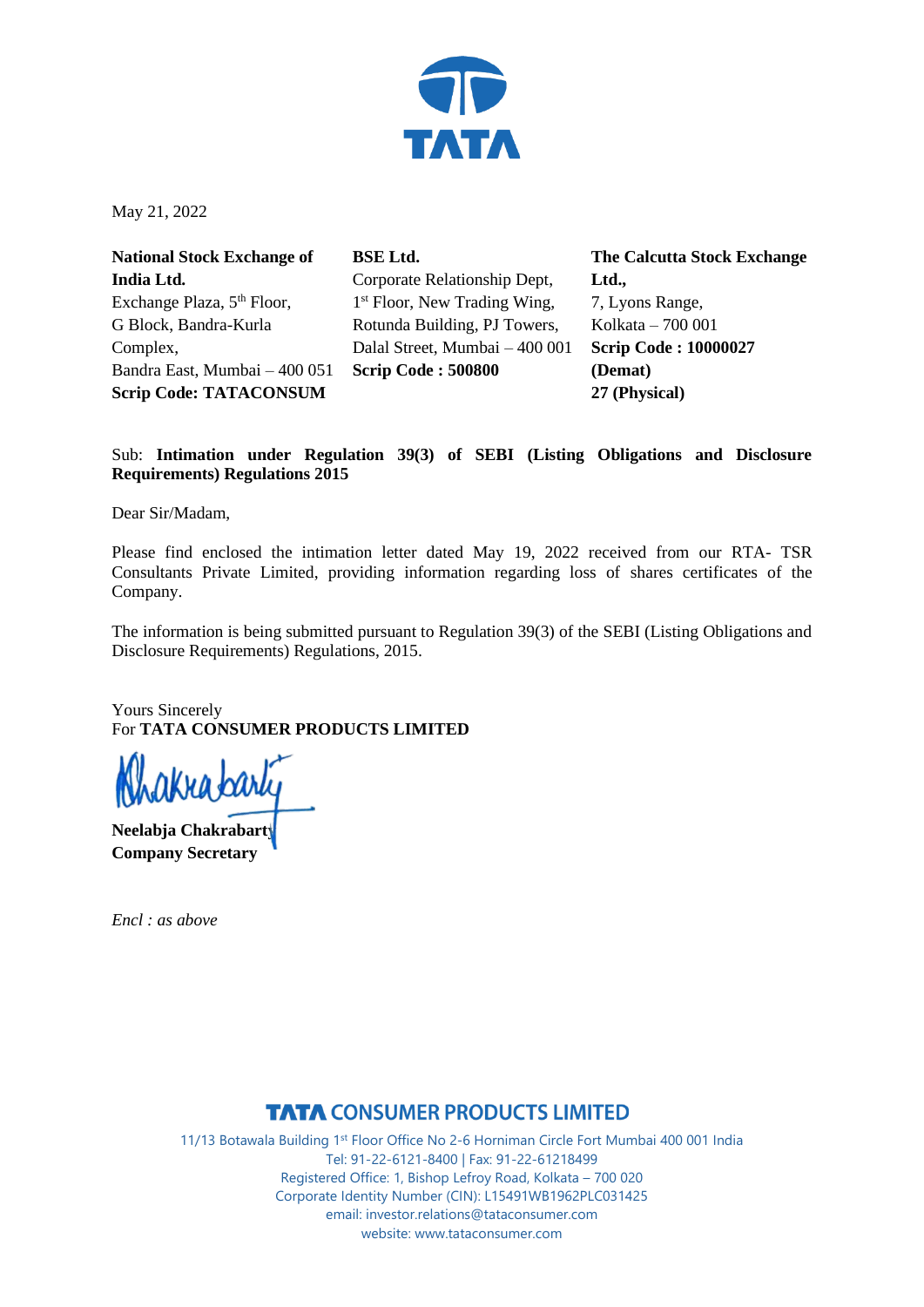

May 21, 2022

**National Stock Exchange of India Ltd.** Exchange Plaza, 5<sup>th</sup> Floor, G Block, Bandra-Kurla Complex, Bandra East, Mumbai – 400 051 **Scrip Code: TATACONSUM**

**BSE Ltd.** Corporate Relationship Dept, 1<sup>st</sup> Floor, New Trading Wing, Rotunda Building, PJ Towers, Dalal Street, Mumbai – 400 001 **Scrip Code : 500800**

**The Calcutta Stock Exchange Ltd.,** 7, Lyons Range, Kolkata – 700 001 **Scrip Code : 10000027 (Demat) 27 (Physical)**

## Sub: **Intimation under Regulation 39(3) of SEBI (Listing Obligations and Disclosure Requirements) Regulations 2015**

Dear Sir/Madam,

Please find enclosed the intimation letter dated May 19, 2022 received from our RTA- TSR Consultants Private Limited, providing information regarding loss of shares certificates of the Company.

The information is being submitted pursuant to Regulation 39(3) of the SEBI (Listing Obligations and Disclosure Requirements) Regulations, 2015.

Yours Sincerely For **TATA CONSUMER PRODUCTS LIMITED**

(na bark

**Neelabja Chakrabarty Company Secretary**

*Encl : as above*

## **TATA CONSUMER PRODUCTS LIMITED**

11/13 Botawala Building 1st Floor Office No 2-6 Horniman Circle Fort Mumbai 400 001 India Tel: 91-22-6121-8400 | Fax: 91-22-61218499 Registered Office: 1, Bishop Lefroy Road, Kolkata – 700 020 Corporate Identity Number (CIN): L15491WB1962PLC031425 email: investor.relations@tataconsumer.com website: www.tataconsumer.com